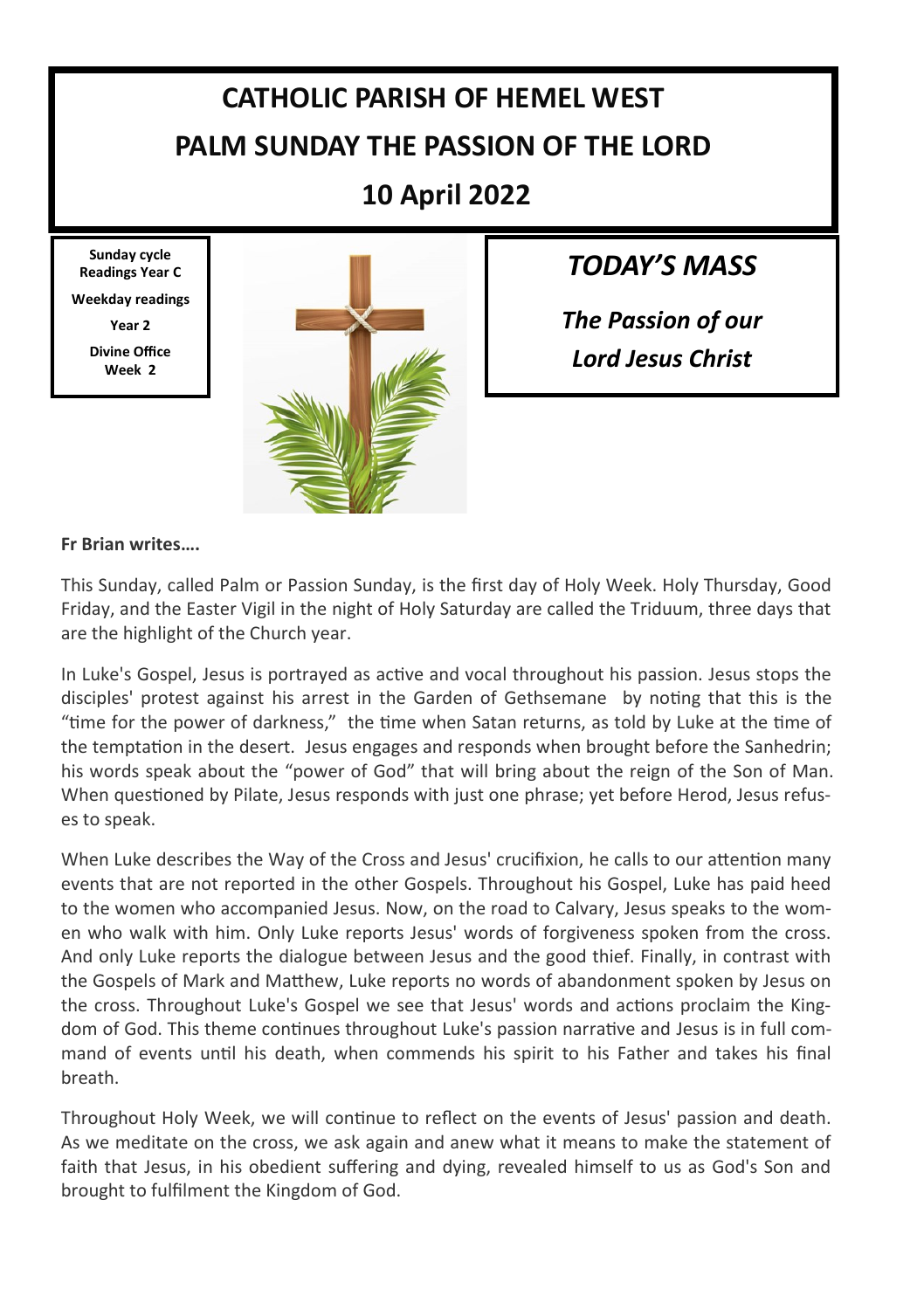# **CATHOLIC PARISH OF HEMEL WEST PALM SUNDAY THE PASSION OF THE LORD**

**10 April 2022**

**Sunday cycle Readings Year C Weekday readings Year 2**

> **Divine Office Week 2**



*TODAY'S MASS*

*The Passion of our Lord Jesus Christ* 

#### **Fr Brian writes….**

This Sunday, called Palm or Passion Sunday, is the first day of Holy Week. Holy Thursday, Good Friday, and the Easter Vigil in the night of Holy Saturday are called the Triduum, three days that are the highlight of the Church year.

In Luke's Gospel, Jesus is portrayed as active and vocal throughout his passion. Jesus stops the disciples' protest against his arrest in the Garden of Gethsemane by noting that this is the "time for the power of darkness," the time when Satan returns, as told by Luke at the time of the temptation in the desert. Jesus engages and responds when brought before the Sanhedrin; his words speak about the "power of God" that will bring about the reign of the Son of Man. When questioned by Pilate, Jesus responds with just one phrase; yet before Herod, Jesus refuses to speak.

When Luke describes the Way of the Cross and Jesus' crucifixion, he calls to our attention many events that are not reported in the other Gospels. Throughout his Gospel, Luke has paid heed to the women who accompanied Jesus. Now, on the road to Calvary, Jesus speaks to the women who walk with him. Only Luke reports Jesus' words of forgiveness spoken from the cross. And only Luke reports the dialogue between Jesus and the good thief. Finally, in contrast with the Gospels of Mark and Matthew, Luke reports no words of abandonment spoken by Jesus on the cross. Throughout Luke's Gospel we see that Jesus' words and actions proclaim the Kingdom of God. This theme continues throughout Luke's passion narrative and Jesus is in full command of events until his death, when commends his spirit to his Father and takes his final breath.

Throughout Holy Week, we will continue to reflect on the events of Jesus' passion and death. As we meditate on the cross, we ask again and anew what it means to make the statement of faith that Jesus, in his obedient suffering and dying, revealed himself to us as God's Son and brought to fulfilment the Kingdom of God.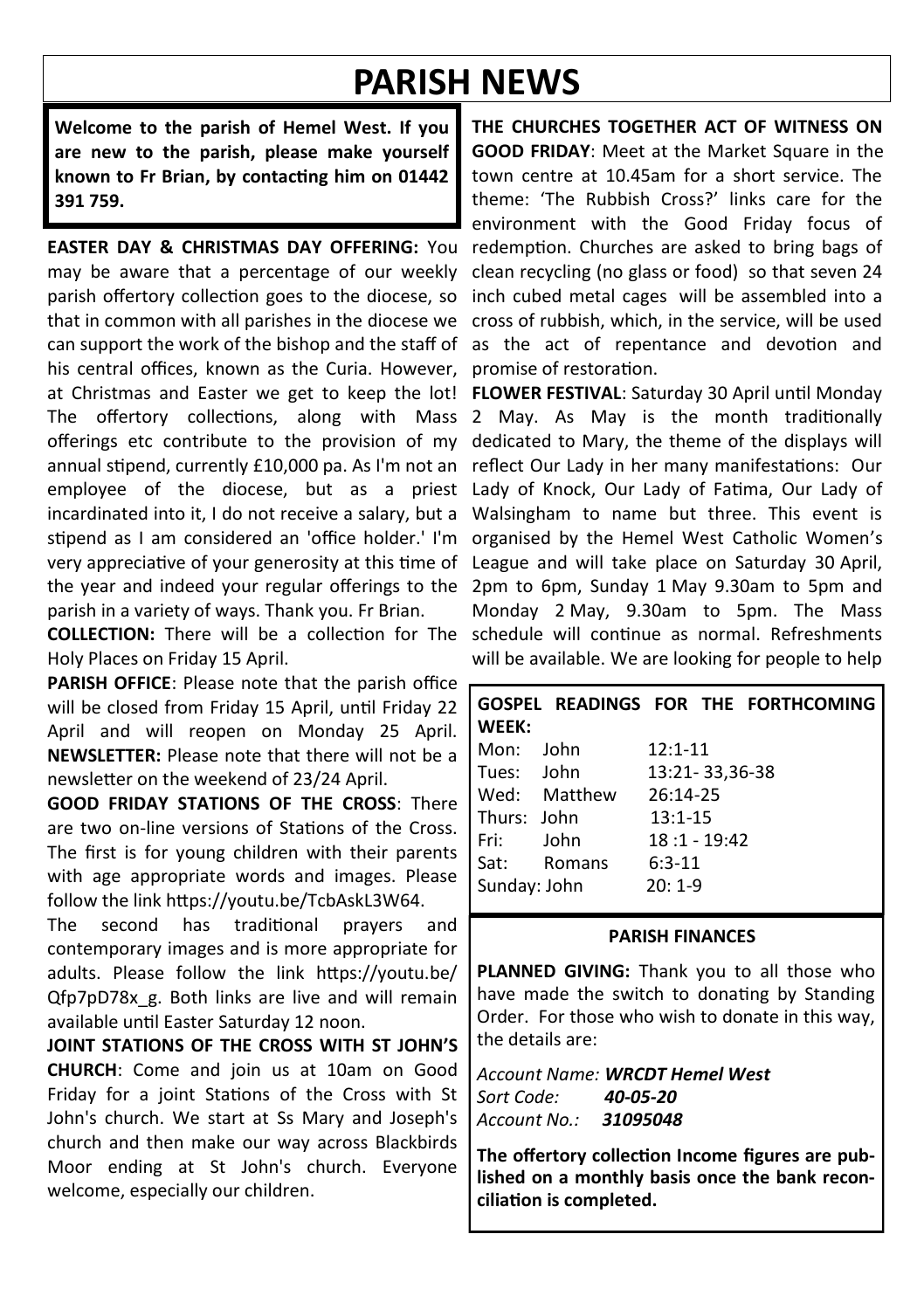## **PARISH NEWS**

**Welcome to the parish of Hemel West. If you are new to the parish, please make yourself known to Fr Brian, by contacting him on 01442 391 759.**

**EASTER DAY & CHRISTMAS DAY OFFERING:** You may be aware that a percentage of our weekly parish offertory collection goes to the diocese, so that in common with all parishes in the diocese we can support the work of the bishop and the staff of his central offices, known as the Curia. However, at Christmas and Easter we get to keep the lot! The offertory collections, along with Mass offerings etc contribute to the provision of my annual stipend, currently £10,000 pa. As I'm not an employee of the diocese, but as a priest incardinated into it, I do not receive a salary, but a stipend as I am considered an 'office holder.' I'm very appreciative of your generosity at this time of the year and indeed your regular offerings to the parish in a variety of ways. Thank you. Fr Brian.

Holy Places on Friday 15 April.

**PARISH OFFICE:** Please note that the parish office will be closed from Friday 15 April, until Friday 22 April and will reopen on Monday 25 April. **NEWSLETTER:** Please note that there will not be a newsletter on the weekend of 23/24 April.

**GOOD FRIDAY STATIONS OF THE CROSS**: There are two on-line versions of Stations of the Cross. The first is for young children with their parents with age appropriate words and images. Please follow the link https://youtu.be/TcbAskL3W64.

The second has traditional prayers and contemporary images and is more appropriate for adults. Please follow the link https://youtu.be/ Qfp7pD78x\_g. Both links are live and will remain available until Easter Saturday 12 noon.

**JOINT STATIONS OF THE CROSS WITH ST JOHN'S CHURCH**: Come and join us at 10am on Good Friday for a joint Stations of the Cross with St John's church. We start at Ss Mary and Joseph's church and then make our way across Blackbirds Moor ending at St John's church. Everyone welcome, especially our children.

**THE CHURCHES TOGETHER ACT OF WITNESS ON GOOD FRIDAY:** Meet at the Market Square in the town centre at 10.45am for a short service. The theme: 'The Rubbish Cross?' links care for the environment with the Good Friday focus of redemption. Churches are asked to bring bags of clean recycling (no glass or food) so that seven 24 inch cubed metal cages will be assembled into a cross of rubbish, which, in the service, will be used as the act of repentance and devotion and promise of restoration.

**COLLECTION:** There will be a collection for The schedule will continue as normal. Refreshments **FLOWER FESTIVAL**: Saturday 30 April until Monday 2 May. As May is the month traditionally dedicated to Mary, the theme of the displays will reflect Our Lady in her many manifestations: Our Lady of Knock, Our Lady of Fatima, Our Lady of Walsingham to name but three. This event is organised by the Hemel West Catholic Women's League and will take place on Saturday 30 April, 2pm to 6pm, Sunday 1 May 9.30am to 5pm and Monday 2 May, 9.30am to 5pm. The Mass will be available. We are looking for people to help

| WEEK:        |              | GOSPEL READINGS FOR THE FORTHCOMING |
|--------------|--------------|-------------------------------------|
| Mon:         | lohn         | $12:1 - 11$                         |
| Tues: John   |              | 13:21-33,36-38                      |
|              | Wed: Matthew | 26:14-25                            |
| Thurs: John  |              | $13:1 - 15$                         |
| Fri: I       | lohn         | $18:1 - 19:42$                      |
| Sat:         | Romans       | $6:3-11$                            |
| Sunday: John |              | $20:1-9$                            |

#### **PARISH FINANCES**

PLANNED GIVING: Thank you to all those who have made the switch to donating by Standing Order. For those who wish to donate in this way, the details are:

*Account Name: WRCDT Hemel West Sort Code: 40-05-20 Account No.: 31095048*

**The offertory collection Income figures are published on a monthly basis once the bank reconciliation is completed.**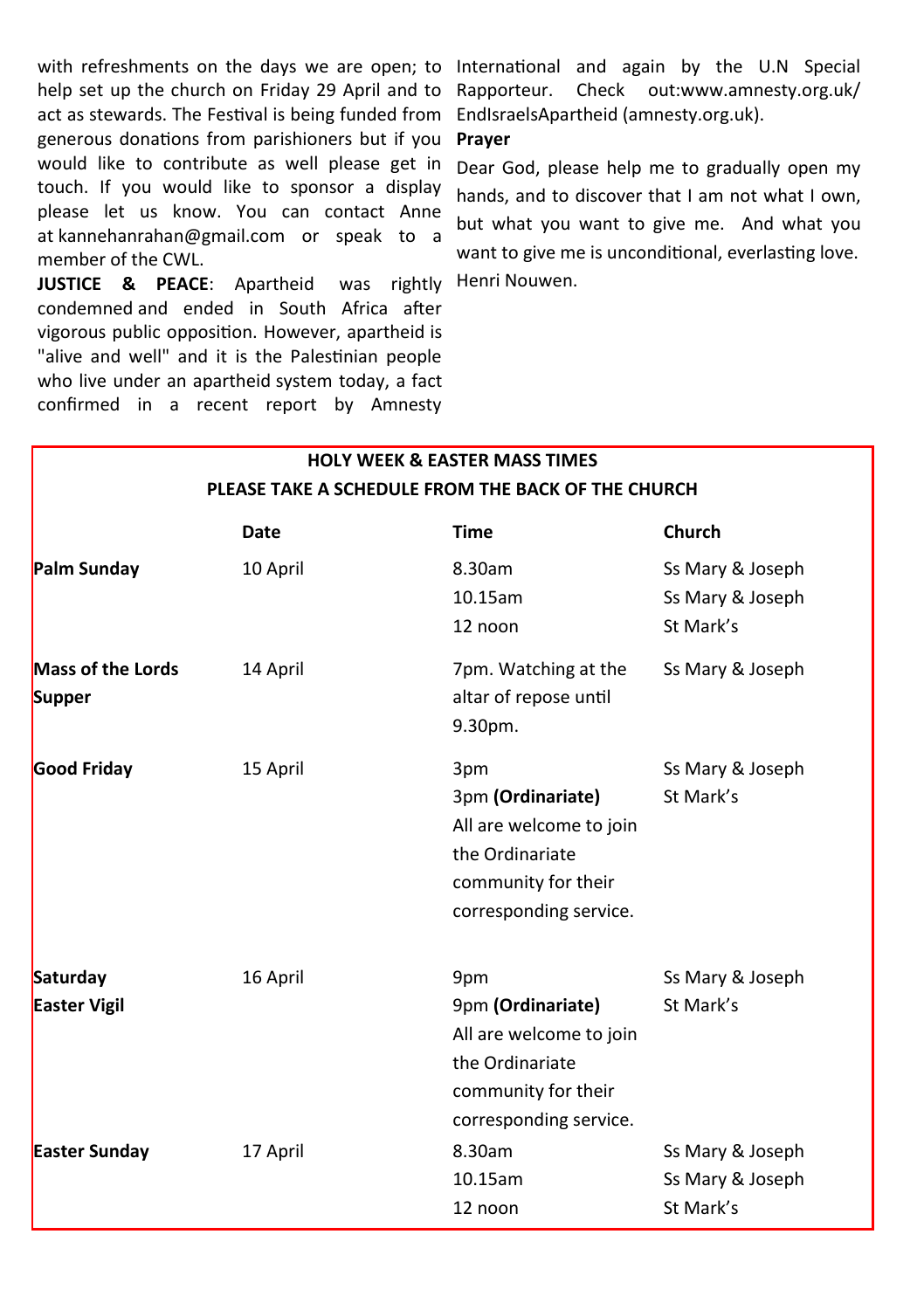with refreshments on the days we are open; to International and again by the U.N Special help set up the church on Friday 29 April and to Rapporteur. Check out:www.amnesty.org.uk/ act as stewards. The Festival is being funded from EndIsraelsApartheid (amnesty.org.uk). generous donations from parishioners but if you would like to contribute as well please get in touch. If you would like to sponsor a display please let us know. You can contact Anne at kannehanrahan@gmail.com or speak to a member of the CWL.

**JUSTICE & PEACE**: Apartheid was rightly Henri Nouwen. condemned and ended in South Africa after vigorous public opposition. However, apartheid is "alive and well" and it is the Palestinian people who live under an apartheid system today, a fact confirmed in a recent report by Amnesty

#### **Prayer**

Dear God, please help me to gradually open my hands, and to discover that I am not what I own, but what you want to give me. And what you want to give me is unconditional, everlasting love.

#### **HOLY WEEK & EASTER MASS TIMES PLEASE TAKE A SCHEDULE FROM THE BACK OF THE CHURCH**

|                                    | Date     | <b>Time</b>                                                                                                             | Church                                            |
|------------------------------------|----------|-------------------------------------------------------------------------------------------------------------------------|---------------------------------------------------|
| Palm Sunday                        | 10 April | 8.30am<br>$10.15$ am<br>12 noon                                                                                         | Ss Mary & Joseph<br>Ss Mary & Joseph<br>St Mark's |
| <b>Mass of the Lords</b><br>Supper | 14 April | 7pm. Watching at the<br>altar of repose until<br>9.30pm.                                                                | Ss Mary & Joseph                                  |
| Good Friday                        | 15 April | 3pm<br>3pm (Ordinariate)<br>All are welcome to join<br>the Ordinariate<br>community for their<br>corresponding service. | Ss Mary & Joseph<br>St Mark's                     |
| Saturday<br><b>Easter Vigil</b>    | 16 April | 9pm<br>9pm (Ordinariate)<br>All are welcome to join<br>the Ordinariate<br>community for their<br>corresponding service. | Ss Mary & Joseph<br>St Mark's                     |
| <b>Easter Sunday</b>               | 17 April | 8.30am<br>$10.15$ am<br>12 noon                                                                                         | Ss Mary & Joseph<br>Ss Mary & Joseph<br>St Mark's |